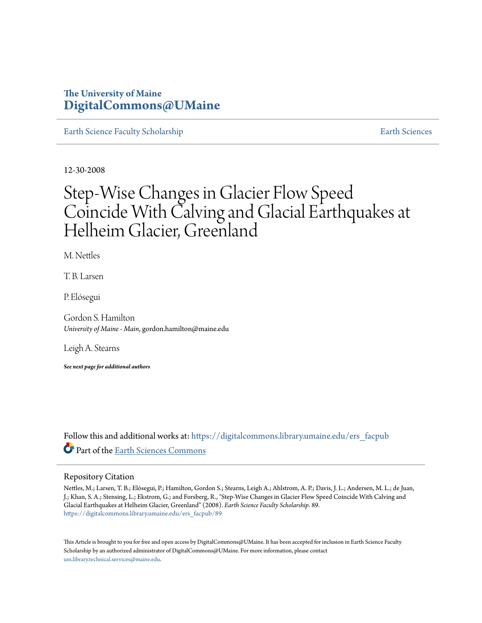# **The University of Maine [DigitalCommons@UMaine](https://digitalcommons.library.umaine.edu?utm_source=digitalcommons.library.umaine.edu%2Fers_facpub%2F89&utm_medium=PDF&utm_campaign=PDFCoverPages)**

[Earth Science Faculty Scholarship](https://digitalcommons.library.umaine.edu/ers_facpub?utm_source=digitalcommons.library.umaine.edu%2Fers_facpub%2F89&utm_medium=PDF&utm_campaign=PDFCoverPages) [Earth Sciences](https://digitalcommons.library.umaine.edu/ers?utm_source=digitalcommons.library.umaine.edu%2Fers_facpub%2F89&utm_medium=PDF&utm_campaign=PDFCoverPages) Earth Sciences

12-30-2008

# Step-Wise Changes in Glacier Flow Speed Coincide With Calving and Glacial Earthquakes at Helheim Glacier, Greenland

M. Nettles

T. B. Larsen

P. Elósegui

Gordon S. Hamilton *University of Maine - Main*, gordon.hamilton@maine.edu

Leigh A. Stearns

*See next page for additional authors*

Follow this and additional works at: [https://digitalcommons.library.umaine.edu/ers\\_facpub](https://digitalcommons.library.umaine.edu/ers_facpub?utm_source=digitalcommons.library.umaine.edu%2Fers_facpub%2F89&utm_medium=PDF&utm_campaign=PDFCoverPages) Part of the [Earth Sciences Commons](http://network.bepress.com/hgg/discipline/153?utm_source=digitalcommons.library.umaine.edu%2Fers_facpub%2F89&utm_medium=PDF&utm_campaign=PDFCoverPages)

# Repository Citation

Nettles, M.; Larsen, T. B.; Elósegui, P.; Hamilton, Gordon S.; Stearns, Leigh A.; Ahlstrom, A. P.; Davis, J. L.; Andersen, M. L.; de Juan, J.; Khan, S. A.; Stensing, L.; Ekstrom, G.; and Forsberg, R., "Step-Wise Changes in Glacier Flow Speed Coincide With Calving and Glacial Earthquakes at Helheim Glacier, Greenland" (2008). *Earth Science Faculty Scholarship*. 89. [https://digitalcommons.library.umaine.edu/ers\\_facpub/89](https://digitalcommons.library.umaine.edu/ers_facpub/89?utm_source=digitalcommons.library.umaine.edu%2Fers_facpub%2F89&utm_medium=PDF&utm_campaign=PDFCoverPages)

This Article is brought to you for free and open access by DigitalCommons@UMaine. It has been accepted for inclusion in Earth Science Faculty Scholarship by an authorized administrator of DigitalCommons@UMaine. For more information, please contact [um.library.technical.services@maine.edu](mailto:um.library.technical.services@maine.edu).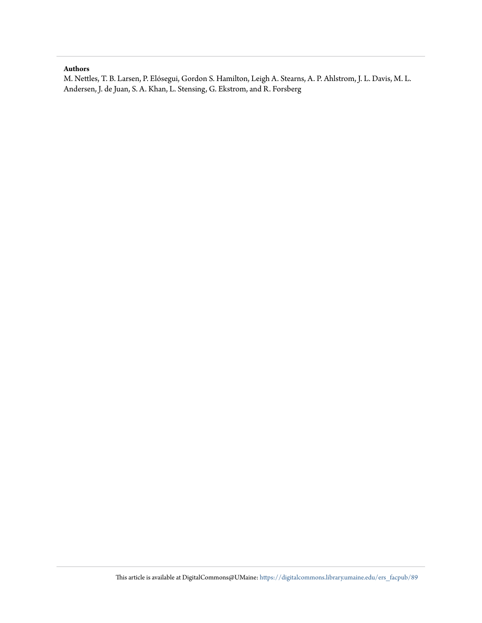## **Authors**

M. Nettles, T. B. Larsen, P. Elósegui, Gordon S. Hamilton, Leigh A. Stearns, A. P. Ahlstrom, J. L. Davis, M. L. Andersen, J. de Juan, S. A. Khan, L. Stensing, G. Ekstrom, and R. Forsberg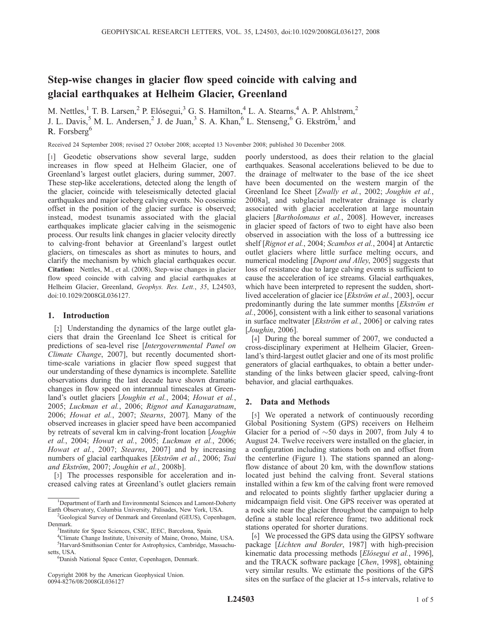# Step-wise changes in glacier flow speed coincide with calving and glacial earthquakes at Helheim Glacier, Greenland

M. Nettles,<sup>1</sup> T. B. Larsen,<sup>2</sup> P. Elósegui,<sup>3</sup> G. S. Hamilton,<sup>4</sup> L. A. Stearns,<sup>4</sup> A. P. Ahlstrøm,<sup>2</sup> J. L. Davis,<sup>5</sup> M. L. Andersen,<sup>2</sup> J. de Juan,<sup>3</sup> S. A. Khan,<sup>6</sup> L. Stenseng,<sup>6</sup> G. Ekström,<sup>1</sup> and R. Forsberg<sup>6</sup>

Received 24 September 2008; revised 27 October 2008; accepted 13 November 2008; published 30 December 2008.

[1] Geodetic observations show several large, sudden increases in flow speed at Helheim Glacier, one of Greenland's largest outlet glaciers, during summer, 2007. These step-like accelerations, detected along the length of the glacier, coincide with teleseismically detected glacial earthquakes and major iceberg calving events. No coseismic offset in the position of the glacier surface is observed; instead, modest tsunamis associated with the glacial earthquakes implicate glacier calving in the seismogenic process. Our results link changes in glacier velocity directly to calving-front behavior at Greenland's largest outlet glaciers, on timescales as short as minutes to hours, and clarify the mechanism by which glacial earthquakes occur. Citation: Nettles, M., et al. (2008), Step-wise changes in glacier flow speed coincide with calving and glacial earthquakes at Helheim Glacier, Greenland, Geophys. Res. Lett., 35, L24503, doi:10.1029/2008GL036127.

## 1. Introduction

[2] Understanding the dynamics of the large outlet glaciers that drain the Greenland Ice Sheet is critical for predictions of sea-level rise [Intergovernmental Panel on Climate Change, 2007], but recently documented shorttime-scale variations in glacier flow speed suggest that our understanding of these dynamics is incomplete. Satellite observations during the last decade have shown dramatic changes in flow speed on interannual timescales at Greenland's outlet glaciers [Joughin et al., 2004; Howat et al., 2005; Luckman et al., 2006; Rignot and Kanagaratnam, 2006; Howat et al., 2007; Stearns, 2007]. Many of the observed increases in glacier speed have been accompanied by retreats of several km in calving-front location [Joughin et al., 2004; Howat et al., 2005; Luckman et al., 2006; Howat et al., 2007; Stearns, 2007] and by increasing numbers of glacial earthquakes [Ekström et al., 2006; Tsai and Ekström, 2007; Joughin et al., 2008b].

[3] The processes responsible for acceleration and increased calving rates at Greenland's outlet glaciers remain

Copyright 2008 by the American Geophysical Union. 0094-8276/08/2008GL036127

poorly understood, as does their relation to the glacial earthquakes. Seasonal accelerations believed to be due to the drainage of meltwater to the base of the ice sheet have been documented on the western margin of the Greenland Ice Sheet [Zwally et al., 2002; Joughin et al., 2008a], and subglacial meltwater drainage is clearly associated with glacier acceleration at large mountain glaciers [Bartholomaus et al., 2008]. However, increases in glacier speed of factors of two to eight have also been observed in association with the loss of a buttressing ice shelf [Rignot et al., 2004; Scambos et al., 2004] at Antarctic outlet glaciers where little surface melting occurs, and numerical modeling [Dupont and Alley, 2005] suggests that loss of resistance due to large calving events is sufficient to cause the acceleration of ice streams. Glacial earthquakes, which have been interpreted to represent the sudden, shortlived acceleration of glacier ice [*Ekström et al.*, 2003], occur predominantly during the late summer months [Ekström et] al., 2006], consistent with a link either to seasonal variations in surface meltwater [*Ekström et al.*, 2006] or calving rates [Joughin, 2006].

[4] During the boreal summer of 2007, we conducted a cross-disciplinary experiment at Helheim Glacier, Greenland's third-largest outlet glacier and one of its most prolific generators of glacial earthquakes, to obtain a better understanding of the links between glacier speed, calving-front behavior, and glacial earthquakes.

## 2. Data and Methods

[5] We operated a network of continuously recording Global Positioning System (GPS) receivers on Helheim Glacier for a period of  $\sim$  50 days in 2007, from July 4 to August 24. Twelve receivers were installed on the glacier, in a configuration including stations both on and offset from the centerline (Figure 1). The stations spanned an alongflow distance of about 20 km, with the downflow stations located just behind the calving front. Several stations installed within a few km of the calving front were removed and relocated to points slightly farther upglacier during a midcampaign field visit. One GPS receiver was operated at a rock site near the glacier throughout the campaign to help define a stable local reference frame; two additional rock stations operated for shorter durations.

[6] We processed the GPS data using the GIPSY software package [Lichten and Border, 1987] with high-precision kinematic data processing methods [Elósegui et al., 1996], and the TRACK software package [Chen, 1998], obtaining very similar results. We estimate the positions of the GPS sites on the surface of the glacier at 15-s intervals, relative to

<sup>&</sup>lt;sup>1</sup>Department of Earth and Environmental Sciences and Lamont-Doherty Earth Observatory, Columbia University, Palisades, New York, USA. <sup>2</sup>

<sup>&</sup>lt;sup>2</sup>Geological Survey of Denmark and Greenland (GEUS), Copenhagen, Denmark.

<sup>&</sup>lt;sup>3</sup>Institute for Space Sciences, CSIC, IEEC, Barcelona, Spain.

<sup>4</sup> Climate Change Institute, University of Maine, Orono, Maine, USA. 5 Harvard-Smithsonian Center for Astrophysics, Cambridge, Massachusetts, USA.

Danish National Space Center, Copenhagen, Denmark.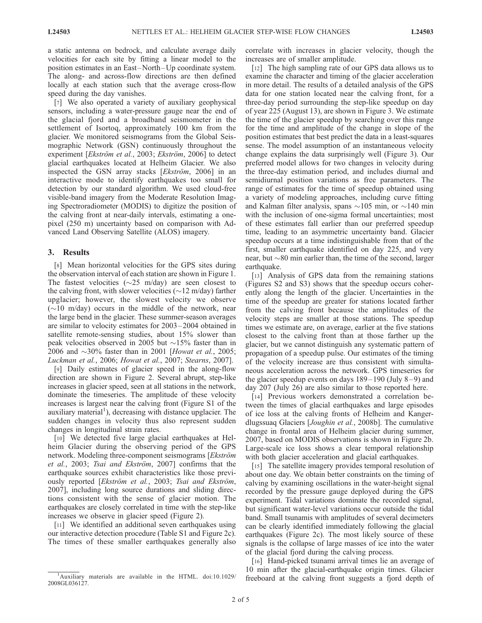a static antenna on bedrock, and calculate average daily velocities for each site by fitting a linear model to the position estimates in an East –North –Up coordinate system. The along- and across-flow directions are then defined locally at each station such that the average cross-flow speed during the day vanishes.

[7] We also operated a variety of auxiliary geophysical sensors, including a water-pressure gauge near the end of the glacial fjord and a broadband seismometer in the settlement of Isortoq, approximately 100 km from the glacier. We monitored seismograms from the Global Seismographic Network (GSN) continuously throughout the experiment [Ekström et al., 2003; Ekström, 2006] to detect glacial earthquakes located at Helheim Glacier. We also inspected the GSN array stacks  $[Ekstr\ddot{o}m, 2006]$  in an interactive mode to identify earthquakes too small for detection by our standard algorithm. We used cloud-free visible-band imagery from the Moderate Resolution Imaging Spectroradiometer (MODIS) to digitize the position of the calving front at near-daily intervals, estimating a onepixel (250 m) uncertainty based on comparison with Advanced Land Observing Satellite (ALOS) imagery.

#### 3. Results

[8] Mean horizontal velocities for the GPS sites during the observation interval of each station are shown in Figure 1. The fastest velocities ( $\sim$ 25 m/day) are seen closest to the calving front, with slower velocities ( $\sim$ 12 m/day) farther upglacier; however, the slowest velocity we observe  $(\sim 10 \text{ m/day})$  occurs in the middle of the network, near the large bend in the glacier. These summer-season averages are similar to velocity estimates for 2003 – 2004 obtained in satellite remote-sensing studies, about 15% slower than peak velocities observed in 2005 but  $\sim$ 15% faster than in 2006 and  $\sim$ 30% faster than in 2001 [Howat et al., 2005; Luckman et al., 2006; Howat et al., 2007; Stearns, 2007].

[9] Daily estimates of glacier speed in the along-flow direction are shown in Figure 2. Several abrupt, step-like increases in glacier speed, seen at all stations in the network, dominate the timeseries. The amplitude of these velocity increases is largest near the calving front (Figure S1 of the auxiliary material<sup>1</sup>), decreasing with distance upglacier. The sudden changes in velocity thus also represent sudden changes in longitudinal strain rates.

[10] We detected five large glacial earthquakes at Helheim Glacier during the observing period of the GPS network. Modeling three-component seismograms [Ekström et al., 2003; Tsai and Ekström, 2007] confirms that the earthquake sources exhibit characteristics like those previously reported [Ekström et al., 2003; Tsai and Ekström, 2007], including long source durations and sliding directions consistent with the sense of glacier motion. The earthquakes are closely correlated in time with the step-like increases we observe in glacier speed (Figure 2).

[11] We identified an additional seven earthquakes using our interactive detection procedure (Table S1 and Figure 2c). The times of these smaller earthquakes generally also correlate with increases in glacier velocity, though the increases are of smaller amplitude.

[12] The high sampling rate of our GPS data allows us to examine the character and timing of the glacier acceleration in more detail. The results of a detailed analysis of the GPS data for one station located near the calving front, for a three-day period surrounding the step-like speedup on day of year 225 (August 13), are shown in Figure 3. We estimate the time of the glacier speedup by searching over this range for the time and amplitude of the change in slope of the position estimates that best predict the data in a least-squares sense. The model assumption of an instantaneous velocity change explains the data surprisingly well (Figure 3). Our preferred model allows for two changes in velocity during the three-day estimation period, and includes diurnal and semidiurnal position variations as free parameters. The range of estimates for the time of speedup obtained using a variety of modeling approaches, including curve fitting and Kalman filter analysis, spans  $\sim$ 105 min, or  $\sim$ 140 min with the inclusion of one-sigma formal uncertainties; most of these estimates fall earlier than our preferred speedup time, leading to an asymmetric uncertainty band. Glacier speedup occurs at a time indistinguishable from that of the first, smaller earthquake identified on day 225, and very near, but  $\sim$ 80 min earlier than, the time of the second, larger earthquake.

[13] Analysis of GPS data from the remaining stations (Figures S2 and S3) shows that the speedup occurs coherently along the length of the glacier. Uncertainties in the time of the speedup are greater for stations located farther from the calving front because the amplitudes of the velocity steps are smaller at those stations. The speedup times we estimate are, on average, earlier at the five stations closest to the calving front than at those farther up the glacier, but we cannot distinguish any systematic pattern of propagation of a speedup pulse. Our estimates of the timing of the velocity increase are thus consistent with simultaneous acceleration across the network. GPS timeseries for the glacier speedup events on days  $189-190$  (July  $8-9$ ) and day 207 (July 26) are also similar to those reported here.

[14] Previous workers demonstrated a correlation between the times of glacial earthquakes and large episodes of ice loss at the calving fronts of Helheim and Kangerdlugssuaq Glaciers [Joughin et al., 2008b]. The cumulative change in frontal area of Helheim glacier during summer, 2007, based on MODIS observations is shown in Figure 2b. Large-scale ice loss shows a clear temporal relationship with both glacier acceleration and glacial earthquakes.

[15] The satellite imagery provides temporal resolution of about one day. We obtain better constraints on the timing of calving by examining oscillations in the water-height signal recorded by the pressure gauge deployed during the GPS experiment. Tidal variations dominate the recorded signal, but significant water-level variations occur outside the tidal band. Small tsunamis with amplitudes of several decimeters can be clearly identified immediately following the glacial earthquakes (Figure 2c). The most likely source of these signals is the collapse of large masses of ice into the water of the glacial fjord during the calving process.

[16] Hand-picked tsunami arrival times lie an average of 10 min after the glacial-earthquake origin times. Glacier freeboard at the calving front suggests a fjord depth of

Auxiliary materials are available in the HTML. doi:10.1029/ 2008GL036127.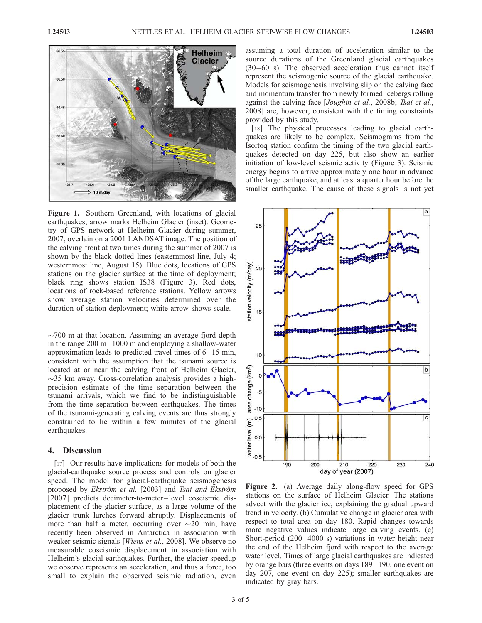

Figure 1. Southern Greenland, with locations of glacial earthquakes; arrow marks Helheim Glacier (inset). Geometry of GPS network at Helheim Glacier during summer, 2007, overlain on a 2001 LANDSAT image. The position of the calving front at two times during the summer of 2007 is shown by the black dotted lines (easternmost line, July 4; westernmost line, August 15). Blue dots, locations of GPS stations on the glacier surface at the time of deployment; black ring shows station IS38 (Figure 3). Red dots, locations of rock-based reference stations. Yellow arrows show average station velocities determined over the duration of station deployment; white arrow shows scale.

 $\sim$ 700 m at that location. Assuming an average fjord depth in the range  $200 \text{ m} - 1000 \text{ m}$  and employing a shallow-water approximation leads to predicted travel times of  $6-15$  min, consistent with the assumption that the tsunami source is located at or near the calving front of Helheim Glacier,  $\sim$ 35 km away. Cross-correlation analysis provides a highprecision estimate of the time separation between the tsunami arrivals, which we find to be indistinguishable from the time separation between earthquakes. The times of the tsunami-generating calving events are thus strongly constrained to lie within a few minutes of the glacial earthquakes.

#### 4. Discussion

[17] Our results have implications for models of both the glacial-earthquake source process and controls on glacier speed. The model for glacial-earthquake seismogenesis proposed by Ekström et al. [2003] and Tsai and Ekström [2007] predicts decimeter-to-meter-level coseismic displacement of the glacier surface, as a large volume of the glacier trunk lurches forward abruptly. Displacements of more than half a meter, occurring over  $\sim$ 20 min, have recently been observed in Antarctica in association with weaker seismic signals [Wiens et al., 2008]. We observe no measurable coseismic displacement in association with Helheim's glacial earthquakes. Further, the glacier speedup we observe represents an acceleration, and thus a force, too small to explain the observed seismic radiation, even

assuming a total duration of acceleration similar to the source durations of the Greenland glacial earthquakes  $(30 - 60 \text{ s})$ . The observed acceleration thus cannot itself represent the seismogenic source of the glacial earthquake. Models for seismogenesis involving slip on the calving face and momentum transfer from newly formed icebergs rolling against the calving face [Joughin et al., 2008b; Tsai et al., 2008] are, however, consistent with the timing constraints provided by this study.

[18] The physical processes leading to glacial earthquakes are likely to be complex. Seismograms from the Isortoq station confirm the timing of the two glacial earthquakes detected on day 225, but also show an earlier initiation of low-level seismic activity (Figure 3). Seismic energy begins to arrive approximately one hour in advance of the large earthquake, and at least a quarter hour before the smaller earthquake. The cause of these signals is not yet



Figure 2. (a) Average daily along-flow speed for GPS stations on the surface of Helheim Glacier. The stations advect with the glacier ice, explaining the gradual upward trend in velocity. (b) Cumulative change in glacier area with respect to total area on day 180. Rapid changes towards more negative values indicate large calving events. (c) Short-period (200–4000 s) variations in water height near the end of the Helheim fjord with respect to the average water level. Times of large glacial earthquakes are indicated by orange bars (three events on days 189 – 190, one event on day 207, one event on day 225); smaller earthquakes are indicated by gray bars.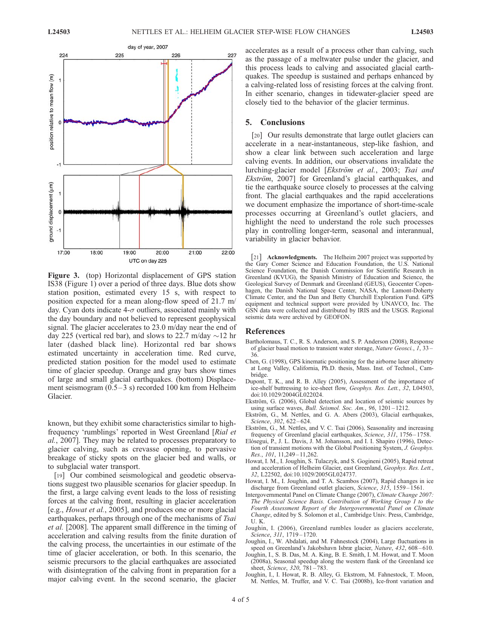

Figure 3. (top) Horizontal displacement of GPS station IS38 (Figure 1) over a period of three days. Blue dots show station position, estimated every 15 s, with respect to position expected for a mean along-flow speed of 21.7 m/ day. Cyan dots indicate  $4-\sigma$  outliers, associated mainly with the day boundary and not believed to represent geophysical signal. The glacier accelerates to 23.0 m/day near the end of day 225 (vertical red bar), and slows to 22.7 m/day  $\sim$ 12 hr later (dashed black line). Horizontal red bar shows estimated uncertainty in acceleration time. Red curve, predicted station position for the model used to estimate time of glacier speedup. Orange and gray bars show times of large and small glacial earthquakes. (bottom) Displacement seismogram  $(0.5-3 s)$  recorded 100 km from Helheim Glacier.

known, but they exhibit some characteristics similar to highfrequency 'rumblings' reported in West Greenland [Rial et al., 2007]. They may be related to processes preparatory to glacier calving, such as crevasse opening, to pervasive breakage of sticky spots on the glacier bed and walls, or to subglacial water transport.

[19] Our combined seismological and geodetic observations suggest two plausible scenarios for glacier speedup. In the first, a large calving event leads to the loss of resisting forces at the calving front, resulting in glacier acceleration [e.g., Howat et al., 2005], and produces one or more glacial earthquakes, perhaps through one of the mechanisms of Tsai et al. [2008]. The apparent small difference in the timing of acceleration and calving results from the finite duration of the calving process, the uncertainties in our estimate of the time of glacier acceleration, or both. In this scenario, the seismic precursors to the glacial earthquakes are associated with disintegration of the calving front in preparation for a major calving event. In the second scenario, the glacier

accelerates as a result of a process other than calving, such as the passage of a meltwater pulse under the glacier, and this process leads to calving and associated glacial earthquakes. The speedup is sustained and perhaps enhanced by a calving-related loss of resisting forces at the calving front. In either scenario, changes in tidewater-glacier speed are closely tied to the behavior of the glacier terminus.

#### 5. Conclusions

[20] Our results demonstrate that large outlet glaciers can accelerate in a near-instantaneous, step-like fashion, and show a clear link between such acceleration and large calving events. In addition, our observations invalidate the lurching-glacier model [Ekström et al., 2003; Tsai and  $Ekström$ , 2007] for Greenland's glacial earthquakes, and tie the earthquake source closely to processes at the calving front. The glacial earthquakes and the rapid accelerations we document emphasize the importance of short-time-scale processes occurring at Greenland's outlet glaciers, and highlight the need to understand the role such processes play in controlling longer-term, seasonal and interannual, variability in glacier behavior.

[21] **Acknowledgments.** The Helheim 2007 project was supported by the Gary Comer Science and Education Foundation, the U.S. National Science Foundation, the Danish Commission for Scientific Research in Greenland (KVUG), the Spanish Ministry of Education and Science, the Geological Survey of Denmark and Greenland (GEUS), Geocenter Copenhagen, the Danish National Space Center, NASA, the Lamont-Doherty Climate Center, and the Dan and Betty Churchill Exploration Fund. GPS equipment and technical support were provided by UNAVCO, Inc. The GSN data were collected and distributed by IRIS and the USGS. Regional seismic data were archived by GEOFON.

#### References

- Bartholomaus, T. C., R. S. Anderson, and S. P. Anderson (2008), Response of glacier basal motion to transient water storage, Nature Geosci., 1, 33 – 36.
- Chen, G. (1998), GPS kinematic positioning for the airborne laser altimetry at Long Valley, California, Ph.D. thesis, Mass. Inst. of Technol., Cambridge.
- Dupont, T. K., and R. B. Alley (2005), Assessment of the importance of ice-shelf buttressing to ice-sheet flow, Geophys. Res. Lett., 32, L04503, doi:10.1029/2004GL022024.
- Ekström, G. (2006), Global detection and location of seismic sources by using surface waves, *Bull. Seismol. Soc. Am.*, 96, 1201-1212.
- Ekström, G., M. Nettles, and G. A. Abers (2003), Glacial earthquakes, Science, 302, 622-624.
- Ekström, G., M. Nettles, and V. C. Tsai (2006), Seasonality and increasing frequency of Greenland glacial earthquakes, *Science*, 311, 1756–1758.
- Elósegui, P., J. L. Davis, J. M. Johansson, and I. I. Shapiro (1996), Detection of transient motions with the Global Positioning System, J. Geophys. Res., 101, 11, 249 - 11, 262.
- Howat, I. M., I. Joughin, S. Tulaczyk, and S. Gogineni (2005), Rapid retreat and acceleration of Helheim Glacier, east Greenland, Geophys. Res. Lett., 32, L22502, doi:10.1029/2005GL024737.
- Howat, I. M., I. Joughin, and T. A. Scambos (2007), Rapid changes in ice discharge from Greenland outlet glaciers, Science, 315, 1559-1561.
- Intergovernmental Panel on Climate Change (2007), Climate Change 2007: The Physical Science Basis. Contribution of Working Group I to the Fourth Assessment Report of the Intergovernmental Panel on Climate Change, edited by S. Solomon et al., Cambridge Univ. Press, Cambridge, U. K.
- Joughin, I. (2006), Greenland rumbles louder as glaciers accelerate, Science, 311, 1719-1720.
- Joughin, I., W. Abdalati, and M. Fahnestock (2004), Large fluctuations in speed on Greenland's Jakobshavn Isbræ glacier, Nature, 432, 608-610.
- Joughin, I., S. B. Das, M. A. King, B. E. Smith, I. M. Howat, and T. Moon (2008a), Seasonal speedup along the western flank of the Greenland ice sheet, Science, 320, 781-783.
- Joughin, I., I. Howat, R. B. Alley, G. Ekstrom, M. Fahnestock, T. Moon, M. Nettles, M. Truffer, and V. C. Tsai (2008b), Ice-front variation and